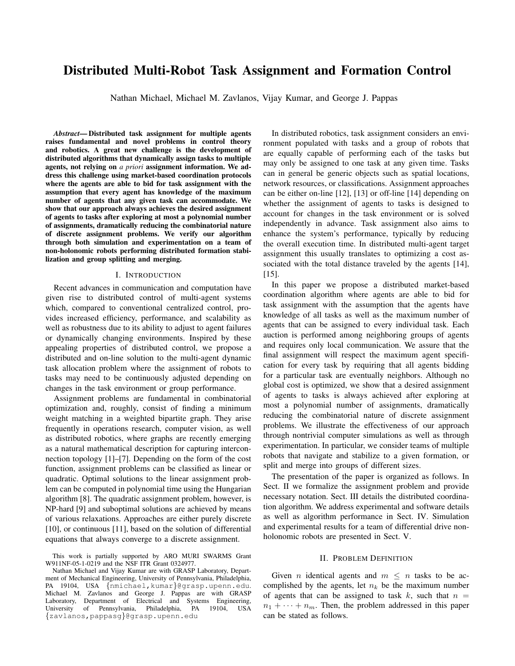# Distributed Multi-Robot Task Assignment and Formation Control

Nathan Michael, Michael M. Zavlanos, Vijay Kumar, and George J. Pappas

*Abstract*— Distributed task assignment for multiple agents raises fundamental and novel problems in control theory and robotics. A great new challenge is the development of distributed algorithms that dynamically assign tasks to multiple agents, not relying on *a priori* assignment information. We address this challenge using market-based coordination protocols where the agents are able to bid for task assignment with the assumption that every agent has knowledge of the maximum number of agents that any given task can accommodate. We show that our approach always achieves the desired assignment of agents to tasks after exploring at most a polynomial number of assignments, dramatically reducing the combinatorial nature of discrete assignment problems. We verify our algorithm through both simulation and experimentation on a team of non-holonomic robots performing distributed formation stabilization and group splitting and merging.

#### I. INTRODUCTION

Recent advances in communication and computation have given rise to distributed control of multi-agent systems which, compared to conventional centralized control, provides increased efficiency, performance, and scalability as well as robustness due to its ability to adjust to agent failures or dynamically changing environments. Inspired by these appealing properties of distributed control, we propose a distributed and on-line solution to the multi-agent dynamic task allocation problem where the assignment of robots to tasks may need to be continuously adjusted depending on changes in the task environment or group performance.

Assignment problems are fundamental in combinatorial optimization and, roughly, consist of finding a minimum weight matching in a weighted bipartite graph. They arise frequently in operations research, computer vision, as well as distributed robotics, where graphs are recently emerging as a natural mathematical description for capturing interconnection topology [1]–[7]. Depending on the form of the cost function, assignment problems can be classified as linear or quadratic. Optimal solutions to the linear assignment problem can be computed in polynomial time using the Hungarian algorithm [8]. The quadratic assignment problem, however, is NP-hard [9] and suboptimal solutions are achieved by means of various relaxations. Approaches are either purely discrete [10], or continuous [11], based on the solution of differential equations that always converge to a discrete assignment.

In distributed robotics, task assignment considers an environment populated with tasks and a group of robots that are equally capable of performing each of the tasks but may only be assigned to one task at any given time. Tasks can in general be generic objects such as spatial locations, network resources, or classifications. Assignment approaches can be either on-line [12], [13] or off-line [14] depending on whether the assignment of agents to tasks is designed to account for changes in the task environment or is solved independently in advance. Task assignment also aims to enhance the system's performance, typically by reducing the overall execution time. In distributed multi-agent target assignment this usually translates to optimizing a cost associated with the total distance traveled by the agents [14], [15].

In this paper we propose a distributed market-based coordination algorithm where agents are able to bid for task assignment with the assumption that the agents have knowledge of all tasks as well as the maximum number of agents that can be assigned to every individual task. Each auction is performed among neighboring groups of agents and requires only local communication. We assure that the final assignment will respect the maximum agent specification for every task by requiring that all agents bidding for a particular task are eventually neighbors. Although no global cost is optimized, we show that a desired assignment of agents to tasks is always achieved after exploring at most a polynomial number of assignments, dramatically reducing the combinatorial nature of discrete assignment problems. We illustrate the effectiveness of our approach through nontrivial computer simulations as well as through experimentation. In particular, we consider teams of multiple robots that navigate and stabilize to a given formation, or split and merge into groups of different sizes.

The presentation of the paper is organized as follows. In Sect. II we formalize the assignment problem and provide necessary notation. Sect. III details the distributed coordination algorithm. We address experimental and software details as well as algorithm performance in Sect. IV. Simulation and experimental results for a team of differential drive nonholonomic robots are presented in Sect. V.

### II. PROBLEM DEFINITION

Given *n* identical agents and  $m \leq n$  tasks to be accomplished by the agents, let  $n_k$  be the maximum number of agents that can be assigned to task k, such that  $n =$  $n_1 + \cdots + n_m$ . Then, the problem addressed in this paper can be stated as follows.

This work is partially supported by ARO MURI SWARMS Grant W911NF-05-1-0219 and the NSF ITR Grant 0324977.

Nathan Michael and Vijay Kumar are with GRASP Laboratory, Department of Mechanical Engineering, University of Pennsylvania, Philadelphia, PA 19104, USA {nmichael,kumar}@grasp.upenn.edu. Michael M. Zavlanos and George J. Pappas are with GRASP Laboratory, Department of Electrical and Systems Engineering,<br>University of Pennsylvania, Philadelphia, PA 19104, USA of Pennsylvania, Philadelphia, PA {zavlanos,pappasg}@grasp.upenn.edu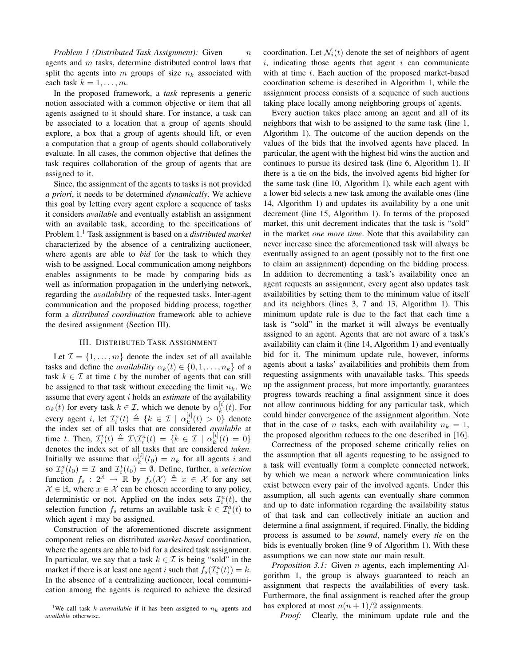*Problem 1 (Distributed Task Assignment):* Given  $n$ agents and m tasks, determine distributed control laws that split the agents into m groups of size  $n_k$  associated with each task  $k = 1, \ldots, m$ .

In the proposed framework, a *task* represents a generic notion associated with a common objective or item that all agents assigned to it should share. For instance, a task can be associated to a location that a group of agents should explore, a box that a group of agents should lift, or even a computation that a group of agents should collaboratively evaluate. In all cases, the common objective that defines the task requires collaboration of the group of agents that are assigned to it.

Since, the assignment of the agents to tasks is not provided *a priori*, it needs to be determined *dynamically*. We achieve this goal by letting every agent explore a sequence of tasks it considers *available* and eventually establish an assignment with an available task, according to the specifications of Problem 1.<sup>1</sup> Task assignment is based on a *distributed market* characterized by the absence of a centralizing auctioneer, where agents are able to *bid* for the task to which they wish to be assigned. Local communication among neighbors enables assignments to be made by comparing bids as well as information propagation in the underlying network, regarding the *availability* of the requested tasks. Inter-agent communication and the proposed bidding process, together form a *distributed coordination* framework able to achieve the desired assignment (Section III).

## III. DISTRIBUTED TASK ASSIGNMENT

Let  $\mathcal{I} = \{1, \ldots, m\}$  denote the index set of all available tasks and define the *availability*  $\alpha_k(t) \in \{0, 1, \ldots, n_k\}$  of a task  $k \in \mathcal{I}$  at time t by the number of agents that can still be assigned to that task without exceeding the limit  $n_k$ . We assume that every agent i holds an *estimate* of the availability  $\alpha_k(t)$  for every task  $k \in \mathcal{I}$ , which we denote by  $\alpha_k^{[i]}$  $k^{[i]}(t)$ . For every agent *i*, let  $\mathcal{I}_i^a(t) \triangleq \{k \in \mathcal{I} \mid \alpha_k^{[i]} \}$  $\binom{[t]}{k}(t) > 0$  denote the index set of all tasks that are considered *available* at time t. Then,  $\mathcal{I}_i^t(t) \triangleq \mathcal{I} \setminus \mathcal{I}_i^a(t) = \{k \in \mathcal{I} \mid \alpha_k^{[i]} \}$  $\binom{[i]}{k}(t) = 0$ denotes the index set of all tasks that are considered *taken*. Initially we assume that  $\alpha_k^{[i]}$  $k^{[i]}(t_0) = n_k$  for all agents i and so  $\mathcal{I}_i^a(t_0) = \mathcal{I}$  and  $\mathcal{I}_i^t(t_0) = \emptyset$ . Define, further, a *selection* function  $f_s : 2^{\mathbb{R}} \to \mathbb{R}$  by  $f_s(\mathcal{X}) \triangleq x \in \mathcal{X}$  for any set  $X \in \mathbb{R}$ , where  $x \in \mathcal{X}$  can be chosen according to any policy, deterministic or not. Applied on the index sets  $\mathcal{I}_i^a(t)$ , the selection function  $f_s$  returns an available task  $k \in \mathcal{I}_i^a(t)$  to which agent  $i$  may be assigned.

Construction of the aforementioned discrete assignment component relies on distributed *market-based* coordination, where the agents are able to bid for a desired task assignment. In particular, we say that a task  $k \in \mathcal{I}$  is being "sold" in the market if there is at least one agent *i* such that  $f_s(\mathcal{I}_i^a(t)) = k$ . In the absence of a centralizing auctioneer, local communication among the agents is required to achieve the desired coordination. Let  $\mathcal{N}_i(t)$  denote the set of neighbors of agent  $i$ , indicating those agents that agent  $i$  can communicate with at time  $t$ . Each auction of the proposed market-based coordination scheme is described in Algorithm 1, while the assignment process consists of a sequence of such auctions taking place locally among neighboring groups of agents.

Every auction takes place among an agent and all of its neighbors that wish to be assigned to the same task (line 1, Algorithm 1). The outcome of the auction depends on the values of the bids that the involved agents have placed. In particular, the agent with the highest bid wins the auction and continues to pursue its desired task (line 6, Algorithm 1). If there is a tie on the bids, the involved agents bid higher for the same task (line 10, Algorithm 1), while each agent with a lower bid selects a new task among the available ones (line 14, Algorithm 1) and updates its availability by a one unit decrement (line 15, Algorithm 1). In terms of the proposed market, this unit decrement indicates that the task is "sold" in the market *one more time*. Note that this availability can never increase since the aforementioned task will always be eventually assigned to an agent (possibly not to the first one to claim an assignment) depending on the bidding process. In addition to decrementing a task's availability once an agent requests an assignment, every agent also updates task availabilities by setting them to the minimum value of itself and its neighbors (lines 3, 7 and 13, Algorithm 1). This minimum update rule is due to the fact that each time a task is "sold" in the market it will always be eventually assigned to an agent. Agents that are not aware of a task's availability can claim it (line 14, Algorithm 1) and eventually bid for it. The minimum update rule, however, informs agents about a tasks' availabilities and prohibits them from requesting assignments with unavailable tasks. This speeds up the assignment process, but more importantly, guarantees progress towards reaching a final assignment since it does not allow continuous bidding for any particular task, which could hinder convergence of the assignment algorithm. Note that in the case of n tasks, each with availability  $n_k = 1$ , the proposed algorithm reduces to the one described in [16].

Correctness of the proposed scheme critically relies on the assumption that all agents requesting to be assigned to a task will eventually form a complete connected network, by which we mean a network where communication links exist between every pair of the involved agents. Under this assumption, all such agents can eventually share common and up to date information regarding the availability status of that task and can collectively initiate an auction and determine a final assignment, if required. Finally, the bidding process is assumed to be *sound*, namely every *tie* on the bids is eventually broken (line 9 of Algorithm 1). With these assumptions we can now state our main result.

*Proposition 3.1:* Given *n* agents, each implementing Algorithm 1, the group is always guaranteed to reach an assignment that respects the availabilities of every task. Furthermore, the final assignment is reached after the group has explored at most  $n(n + 1)/2$  assignments.

*Proof:* Clearly, the minimum update rule and the

<sup>&</sup>lt;sup>1</sup>We call task k *unavailable* if it has been assigned to  $n_k$  agents and *available* otherwise.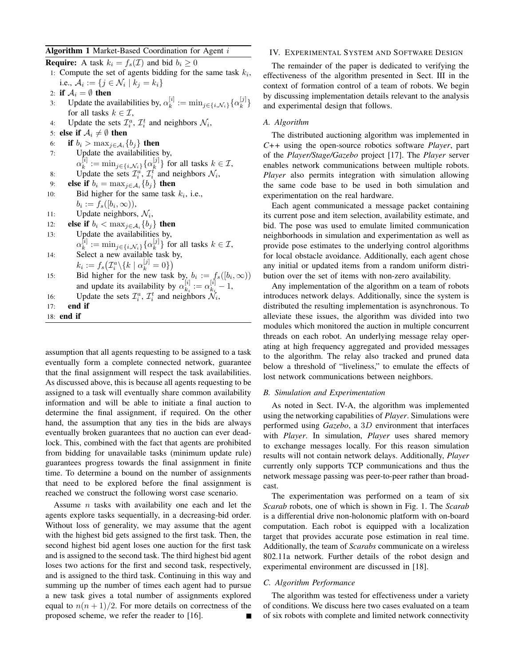## Algorithm 1 Market-Based Coordination for Agent i

**Require:** A task  $k_i = f_s(\mathcal{I})$  and bid  $b_i \geq 0$ 1: Compute the set of agents bidding for the same task  $k_i$ , i.e.,  $A_i := \{ j \in \mathcal{N}_i \mid k_j = k_i \}$ 2: if  $A_i = \emptyset$  then 3: Update the availabilities by,  $\alpha_k^{[i]}$  $\chi_k^{[i]} := \min_{j \in \{i, \mathcal{N}_i\}} {\{\alpha_k^{[j]} \}}$  $_{k}^{\left[ \jmath\right] }\}$ for all tasks  $k \in \mathcal{I}$ , 4: Update the sets  $\mathcal{I}_i^a$ ,  $\mathcal{I}_i^t$  and neighbors  $\mathcal{N}_i$ , 5: else if  $A_i \neq \emptyset$  then 6: if  $b_i > \max_{j \in \mathcal{A}_i} \{b_j\}$  then 7: Update the availabilities by,  $\alpha_k^{[i]}$  $\mathbf{h}_k^{[i]} := \min_{j \in \{i, \mathcal{N}_i\}} \{ \alpha_k^{[j]} \}$  $\{k^{[j]}\}\)$  for all tasks  $k \in \mathcal{I}$ , 8: Update the sets  $\mathcal{I}_i^{\dot{a}}, \mathcal{I}_i^{\dot{t}}$  and neighbors  $\mathcal{N}_i$ , 9: **else if**  $b_i = \max_{j \in \mathcal{A}_i} \{b_j\}$  **then** 10: Bid higher for the same task  $k_i$ , i.e.,  $b_i := f_s([b_i, \infty)),$ 11: Update neighbors,  $\mathcal{N}_i$ , 12: **else if**  $b_i < \max_{j \in \mathcal{A}_i} \{b_j\}$  then 13: Update the availabilities by,  $\alpha_k^{[i]}$  $\mathbf{h}_k^{[i]} := \min_{j \in \{i, \mathcal{N}_i\}} \{ \alpha_k^{[j]} \}$  ${k \choose k}$  for all tasks  $k \in \mathcal{I}$ , 14: Select a new available task by,  $k_i := f_s\left(\mathcal{I}_i^a \backslash \{k \mid \alpha_k^{[j]}=0\}\right)$ 15: Bid higher for the new task by,  $b_i := f_s([b_i, \infty))$ and update its availability by  $\alpha_k^{[i]}$  $\begin{smallmatrix} [i] \ k_i \end{smallmatrix} := \alpha^{[i]}_{k_i}$  $\frac{\lfloor i \rfloor}{k_i}-1,$ 16: Update the sets  $\mathcal{I}_i^a$ ,  $\mathcal{I}_i^t$  and neighbors  $\mathcal{N}_i$ , 17: end if 18: end if

assumption that all agents requesting to be assigned to a task eventually form a complete connected network, guarantee that the final assignment will respect the task availabilities. As discussed above, this is because all agents requesting to be assigned to a task will eventually share common availability information and will be able to initiate a final auction to determine the final assignment, if required. On the other hand, the assumption that any ties in the bids are always eventually broken guarantees that no auction can ever deadlock. This, combined with the fact that agents are prohibited from bidding for unavailable tasks (minimum update rule) guarantees progress towards the final assignment in finite time. To determine a bound on the number of assignments that need to be explored before the final assignment is reached we construct the following worst case scenario.

Assume  $n$  tasks with availability one each and let the agents explore tasks sequentially, in a decreasing-bid order. Without loss of generality, we may assume that the agent with the highest bid gets assigned to the first task. Then, the second highest bid agent loses one auction for the first task and is assigned to the second task. The third highest bid agent loses two actions for the first and second task, respectively, and is assigned to the third task. Continuing in this way and summing up the number of times each agent had to pursue a new task gives a total number of assignments explored equal to  $n(n+1)/2$ . For more details on correctness of the proposed scheme, we refer the reader to [16].

#### IV. EXPERIMENTAL SYSTEM AND SOFTWARE DESIGN

The remainder of the paper is dedicated to verifying the effectiveness of the algorithm presented in Sect. III in the context of formation control of a team of robots. We begin by discussing implementation details relevant to the analysis and experimental design that follows.

#### *A. Algorithm*

The distributed auctioning algorithm was implemented in *C++* using the open-source robotics software *Player*, part of the *Player/Stage/Gazebo* project [17]. The *Player* server enables network communications between multiple robots. *Player* also permits integration with simulation allowing the same code base to be used in both simulation and experimentation on the real hardware.

Each agent communicated a message packet containing its current pose and item selection, availability estimate, and bid. The pose was used to emulate limited communication neighborhoods in simulation and experimentation as well as provide pose estimates to the underlying control algorithms for local obstacle avoidance. Additionally, each agent chose any initial or updated items from a random uniform distribution over the set of items with non-zero availability.

Any implementation of the algorithm on a team of robots introduces network delays. Additionally, since the system is distributed the resulting implementation is asynchronous. To alleviate these issues, the algorithm was divided into two modules which monitored the auction in multiple concurrent threads on each robot. An underlying message relay operating at high frequency aggregated and provided messages to the algorithm. The relay also tracked and pruned data below a threshold of "liveliness," to emulate the effects of lost network communications between neighbors.

## *B. Simulation and Experimentation*

As noted in Sect. IV-A, the algorithm was implemented using the networking capabilities of *Player*. Simulations were performed using *Gazebo*, a 3D environment that interfaces with *Player*. In simulation, *Player* uses shared memory to exchange messages locally. For this reason simulation results will not contain network delays. Additionally, *Player* currently only supports TCP communications and thus the network message passing was peer-to-peer rather than broadcast.

The experimentation was performed on a team of six *Scarab* robots, one of which is shown in Fig. 1. The *Scarab* is a differential drive non-holonomic platform with on-board computation. Each robot is equipped with a localization target that provides accurate pose estimation in real time. Additionally, the team of *Scarabs* communicate on a wireless 802.11a network. Further details of the robot design and experimental environment are discussed in [18].

## *C. Algorithm Performance*

The algorithm was tested for effectiveness under a variety of conditions. We discuss here two cases evaluated on a team of six robots with complete and limited network connectivity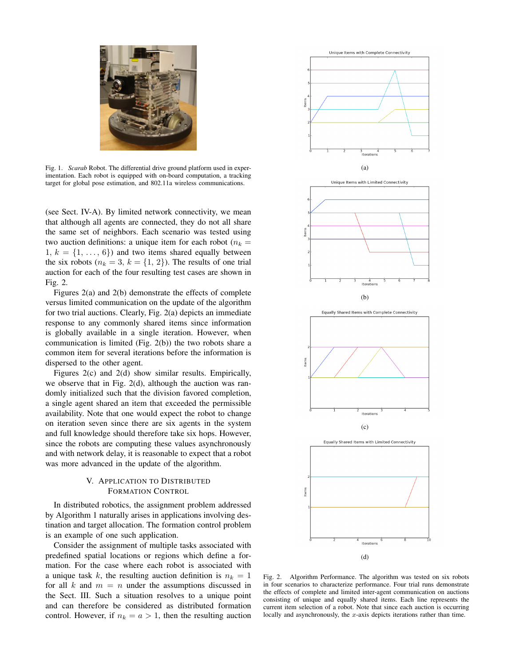

Fig. 1. *Scarab* Robot. The differential drive ground platform used in experimentation. Each robot is equipped with on-board computation, a tracking target for global pose estimation, and 802.11a wireless communications.

(see Sect. IV-A). By limited network connectivity, we mean that although all agents are connected, they do not all share the same set of neighbors. Each scenario was tested using two auction definitions: a unique item for each robot ( $n_k =$  $1, k = \{1, \ldots, 6\}$  and two items shared equally between the six robots ( $n_k = 3$ ,  $k = \{1, 2\}$ ). The results of one trial auction for each of the four resulting test cases are shown in Fig. 2.

Figures 2(a) and 2(b) demonstrate the effects of complete versus limited communication on the update of the algorithm for two trial auctions. Clearly, Fig. 2(a) depicts an immediate response to any commonly shared items since information is globally available in a single iteration. However, when communication is limited (Fig. 2(b)) the two robots share a common item for several iterations before the information is dispersed to the other agent.

Figures 2(c) and 2(d) show similar results. Empirically, we observe that in Fig. 2(d), although the auction was randomly initialized such that the division favored completion, a single agent shared an item that exceeded the permissible availability. Note that one would expect the robot to change on iteration seven since there are six agents in the system and full knowledge should therefore take six hops. However, since the robots are computing these values asynchronously and with network delay, it is reasonable to expect that a robot was more advanced in the update of the algorithm.

# V. APPLICATION TO DISTRIBUTED FORMATION CONTROL

In distributed robotics, the assignment problem addressed by Algorithm 1 naturally arises in applications involving destination and target allocation. The formation control problem is an example of one such application.

Consider the assignment of multiple tasks associated with predefined spatial locations or regions which define a formation. For the case where each robot is associated with a unique task k, the resulting auction definition is  $n_k = 1$ for all k and  $m = n$  under the assumptions discussed in the Sect. III. Such a situation resolves to a unique point and can therefore be considered as distributed formation control. However, if  $n_k = a > 1$ , then the resulting auction



Fig. 2. Algorithm Performance. The algorithm was tested on six robots in four scenarios to characterize performance. Four trial runs demonstrate the effects of complete and limited inter-agent communication on auctions consisting of unique and equally shared items. Each line represents the current item selection of a robot. Note that since each auction is occurring locally and asynchronously, the x-axis depicts iterations rather than time.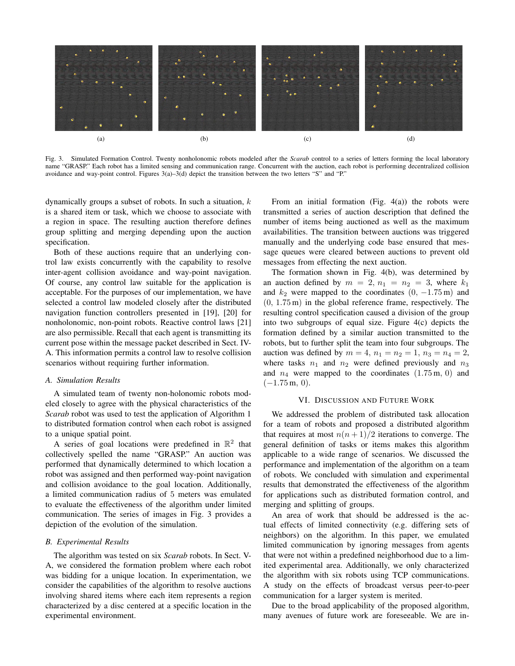

Fig. 3. Simulated Formation Control. Twenty nonholonomic robots modeled after the *Scarab* control to a series of letters forming the local laboratory name "GRASP." Each robot has a limited sensing and communication range. Concurrent with the auction, each robot is performing decentralized collision avoidance and way-point control. Figures 3(a)–3(d) depict the transition between the two letters "S" and "P."

dynamically groups a subset of robots. In such a situation,  $k$ is a shared item or task, which we choose to associate with a region in space. The resulting auction therefore defines group splitting and merging depending upon the auction specification.

Both of these auctions require that an underlying control law exists concurrently with the capability to resolve inter-agent collision avoidance and way-point navigation. Of course, any control law suitable for the application is acceptable. For the purposes of our implementation, we have selected a control law modeled closely after the distributed navigation function controllers presented in [19], [20] for nonholonomic, non-point robots. Reactive control laws [21] are also permissible. Recall that each agent is transmitting its current pose within the message packet described in Sect. IV-A. This information permits a control law to resolve collision scenarios without requiring further information.

## *A. Simulation Results*

A simulated team of twenty non-holonomic robots modeled closely to agree with the physical characteristics of the *Scarab* robot was used to test the application of Algorithm 1 to distributed formation control when each robot is assigned to a unique spatial point.

A series of goal locations were predefined in  $\mathbb{R}^2$  that collectively spelled the name "GRASP." An auction was performed that dynamically determined to which location a robot was assigned and then performed way-point navigation and collision avoidance to the goal location. Additionally, a limited communication radius of 5 meters was emulated to evaluate the effectiveness of the algorithm under limited communication. The series of images in Fig. 3 provides a depiction of the evolution of the simulation.

## *B. Experimental Results*

The algorithm was tested on six *Scarab* robots. In Sect. V-A, we considered the formation problem where each robot was bidding for a unique location. In experimentation, we consider the capabilities of the algorithm to resolve auctions involving shared items where each item represents a region characterized by a disc centered at a specific location in the experimental environment.

From an initial formation (Fig.  $4(a)$ ) the robots were transmitted a series of auction description that defined the number of items being auctioned as well as the maximum availabilities. The transition between auctions was triggered manually and the underlying code base ensured that message queues were cleared between auctions to prevent old messages from effecting the next auction.

The formation shown in Fig. 4(b), was determined by an auction defined by  $m = 2$ ,  $n_1 = n_2 = 3$ , where  $k_1$ and  $k_2$  were mapped to the coordinates  $(0, -1.75 \,\mathrm{m})$  and (0, 1.75 m) in the global reference frame, respectively. The resulting control specification caused a division of the group into two subgroups of equal size. Figure 4(c) depicts the formation defined by a similar auction transmitted to the robots, but to further split the team into four subgroups. The auction was defined by  $m = 4$ ,  $n_1 = n_2 = 1$ ,  $n_3 = n_4 = 2$ , where tasks  $n_1$  and  $n_2$  were defined previously and  $n_3$ and  $n_4$  were mapped to the coordinates  $(1.75 \text{ m}, 0)$  and  $(-1.75 \,\mathrm{m}, 0)$ .

#### VI. DISCUSSION AND FUTURE WORK

We addressed the problem of distributed task allocation for a team of robots and proposed a distributed algorithm that requires at most  $n(n+1)/2$  iterations to converge. The general definition of tasks or items makes this algorithm applicable to a wide range of scenarios. We discussed the performance and implementation of the algorithm on a team of robots. We concluded with simulation and experimental results that demonstrated the effectiveness of the algorithm for applications such as distributed formation control, and merging and splitting of groups.

An area of work that should be addressed is the actual effects of limited connectivity (e.g. differing sets of neighbors) on the algorithm. In this paper, we emulated limited communication by ignoring messages from agents that were not within a predefined neighborhood due to a limited experimental area. Additionally, we only characterized the algorithm with six robots using TCP communications. A study on the effects of broadcast versus peer-to-peer communication for a larger system is merited.

Due to the broad applicability of the proposed algorithm, many avenues of future work are foreseeable. We are in-